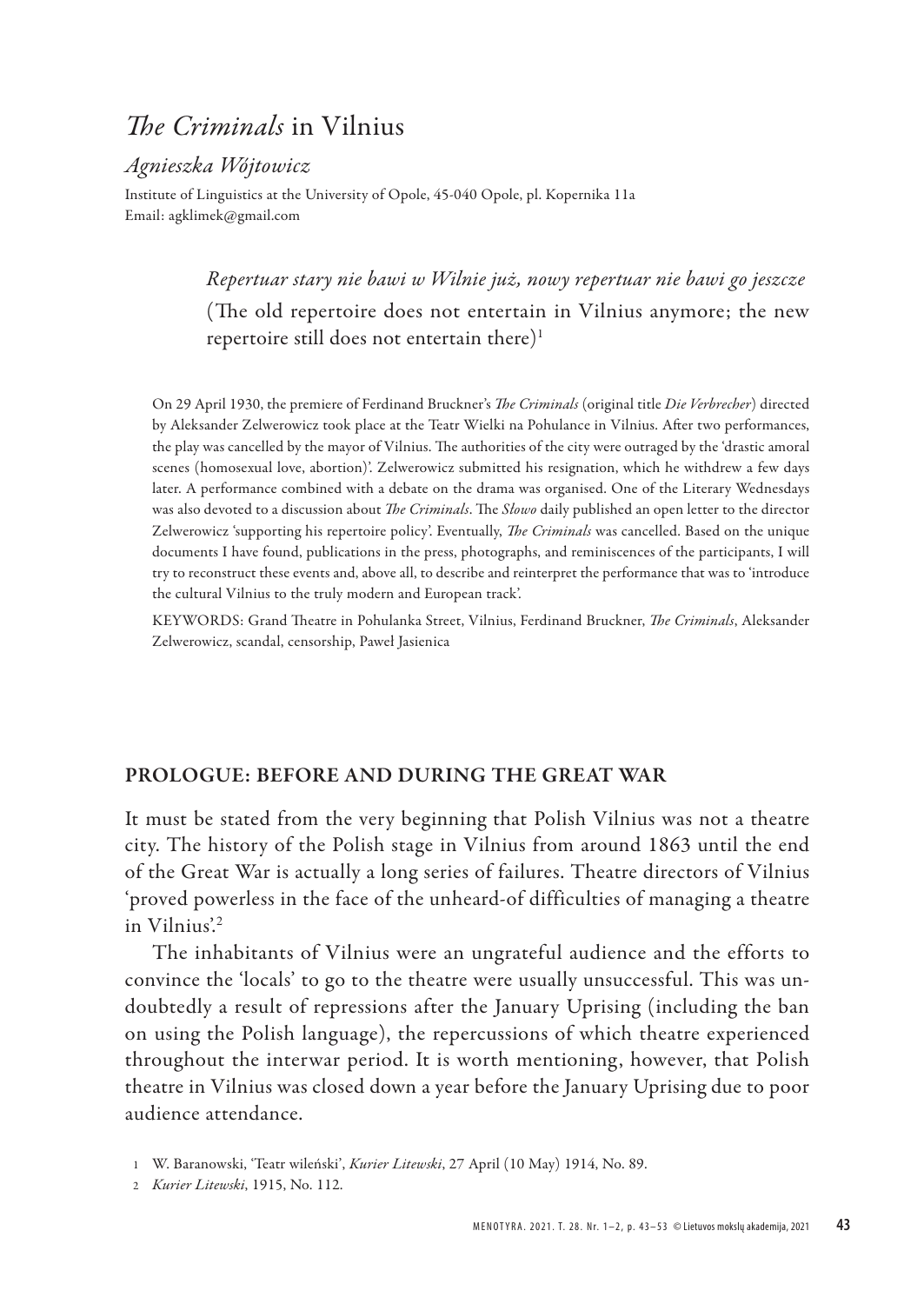# *The Criminals* in Vilnius

## *Agnieszka Wójtowicz*

Institute of Linguistics at the University of Opole, 45-040 Opole, pl. Kopernika 11a Email: agklimek@gmail.com

> *Repertuar stary nie bawi w Wilnie już, nowy repertuar nie bawi go jeszcze* (The old repertoire does not entertain in Vilnius anymore; the new repertoire still does not entertain there)<sup>1</sup>

On 29 April 1930, the premiere of Ferdinand Bruckner's *The Criminals* (original title *Die Verbrecher*) directed by Aleksander Zelwerowicz took place at the Teatr Wielki na Pohulance in Vilnius. After two performances, the play was cancelled by the mayor of Vilnius. The authorities of the city were outraged by the 'drastic amoral scenes (homosexual love, abortion)'. Zelwerowicz submitted his resignation, which he withdrew a few days later. A performance combined with a debate on the drama was organised. One of the Literary Wednesdays was also devoted to a discussion about *The Criminals*. The *Słowo* daily published an open letter to the director Zelwerowicz 'supporting his repertoire policy'. Eventually, *The Criminals* was cancelled. Based on the unique documents I have found, publications in the press, photographs, and reminiscences of the participants, I will try to reconstruct these events and, above all, to describe and reinterpret the performance that was to 'introduce the cultural Vilnius to the truly modern and European track'.

KEYWORDS: Grand Theatre in Pohulanka Street, Vilnius, Ferdinand Bruckner, *The Criminals*, Aleksander Zelwerowicz, scandal, censorship, Paweł Jasienica

### PROLOGUE: BEFORE AND DURING THE GREAT WAR

It must be stated from the very beginning that Polish Vilnius was not a theatre city. The history of the Polish stage in Vilnius from around 1863 until the end of the Great War is actually a long series of failures. Theatre directors of Vilnius 'proved powerless in the face of the unheard-of difficulties of managing a theatre in Vilnius'.<sup>2</sup>

The inhabitants of Vilnius were an ungrateful audience and the efforts to convince the 'locals' to go to the theatre were usually unsuccessful. This was undoubtedly a result of repressions after the January Uprising (including the ban on using the Polish language), the repercussions of which theatre experienced throughout the interwar period. It is worth mentioning, however, that Polish theatre in Vilnius was closed down a year before the January Uprising due to poor audience attendance.

2 *Kurier Litewski*, 1915, No. 112.

<sup>1</sup> W. Baranowski, 'Teatr wileński', *Kurier Litewski*, 27 April (10 May) 1914, No. 89.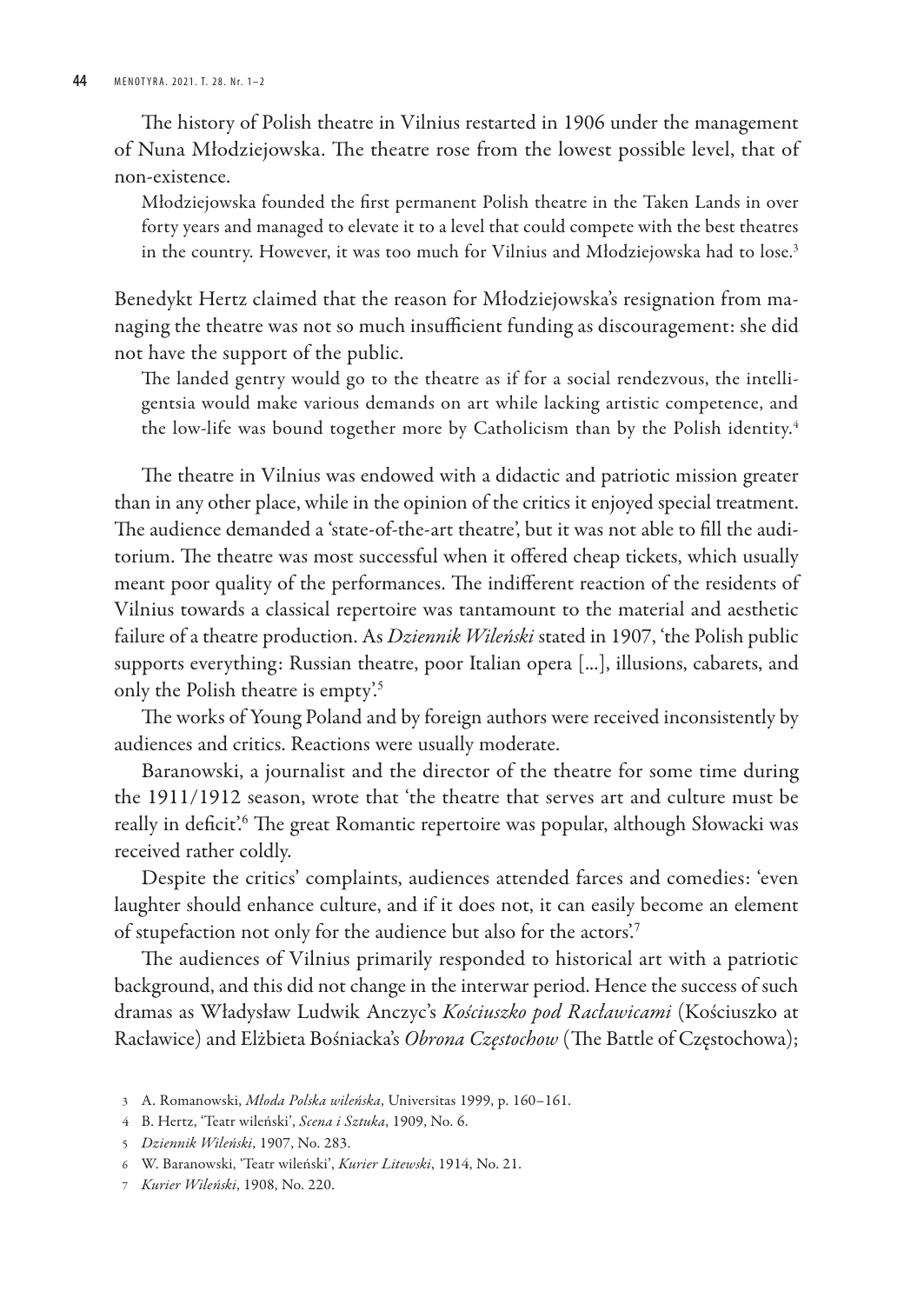The history of Polish theatre in Vilnius restarted in 1906 under the management of Nuna Młodziejowska. The theatre rose from the lowest possible level, that of non-existence.

Młodziejowska founded the first permanent Polish theatre in the Taken Lands in over forty years and managed to elevate it to a level that could compete with the best theatres in the country. However, it was too much for Vilnius and Młodziejowska had to lose.<sup>3</sup>

Benedykt Hertz claimed that the reason for Młodziejowska's resignation from managing the theatre was not so much insufficient funding as discouragement: she did not have the support of the public.

The landed gentry would go to the theatre as if for a social rendezvous, the intelligentsia would make various demands on art while lacking artistic competence, and the low-life was bound together more by Catholicism than by the Polish identity.<sup>4</sup>

The theatre in Vilnius was endowed with a didactic and patriotic mission greater than in any other place, while in the opinion of the critics it enjoyed special treatment. The audience demanded a 'state-of-the-art theatre', but it was not able to fill the auditorium. The theatre was most successful when it offered cheap tickets, which usually meant poor quality of the performances. The indifferent reaction of the residents of Vilnius towards a classical repertoire was tantamount to the material and aesthetic failure of a theatre production. As *Dziennik Wileński* stated in 1907, 'the Polish public supports everything: Russian theatre, poor Italian opera [...], illusions, cabarets, and only the Polish theatre is empty'.<sup>5</sup>

The works of Young Poland and by foreign authors were received inconsistently by audiences and critics. Reactions were usually moderate.

Baranowski, a journalist and the director of the theatre for some time during the 1911/1912 season, wrote that 'the theatre that serves art and culture must be really in deficit.<sup>'6</sup> The great Romantic repertoire was popular, although Słowacki was received rather coldly.

Despite the critics' complaints, audiences attended farces and comedies: 'even laughter should enhance culture, and if it does not, it can easily become an element of stupefaction not only for the audience but also for the actors'.<sup>7</sup>

The audiences of Vilnius primarily responded to historical art with a patriotic background, and this did not change in the interwar period. Hence the success of such dramas as Władysław Ludwik Anczyc's *Kościuszko pod Racławicami* (Kościuszko at Racławice) and Elżbieta Bośniacka's *Obrona Częstochow* (The Battle of Częstochowa);

7 *Kurier Wileński*, 1908, No. 220.

<sup>3</sup> A. Romanowski, *Młoda Polska wileńska*, Universitas 1999, p. 160–161.

<sup>4</sup> B. Hertz, 'Teatr wileński', *Scena i Sztuka*, 1909, No. 6.

<sup>5</sup> *Dziennik Wileński*, 1907, No. 283.

<sup>6</sup> W. Baranowski, 'Teatr wileński', *Kurier Litewski*, 1914, No. 21.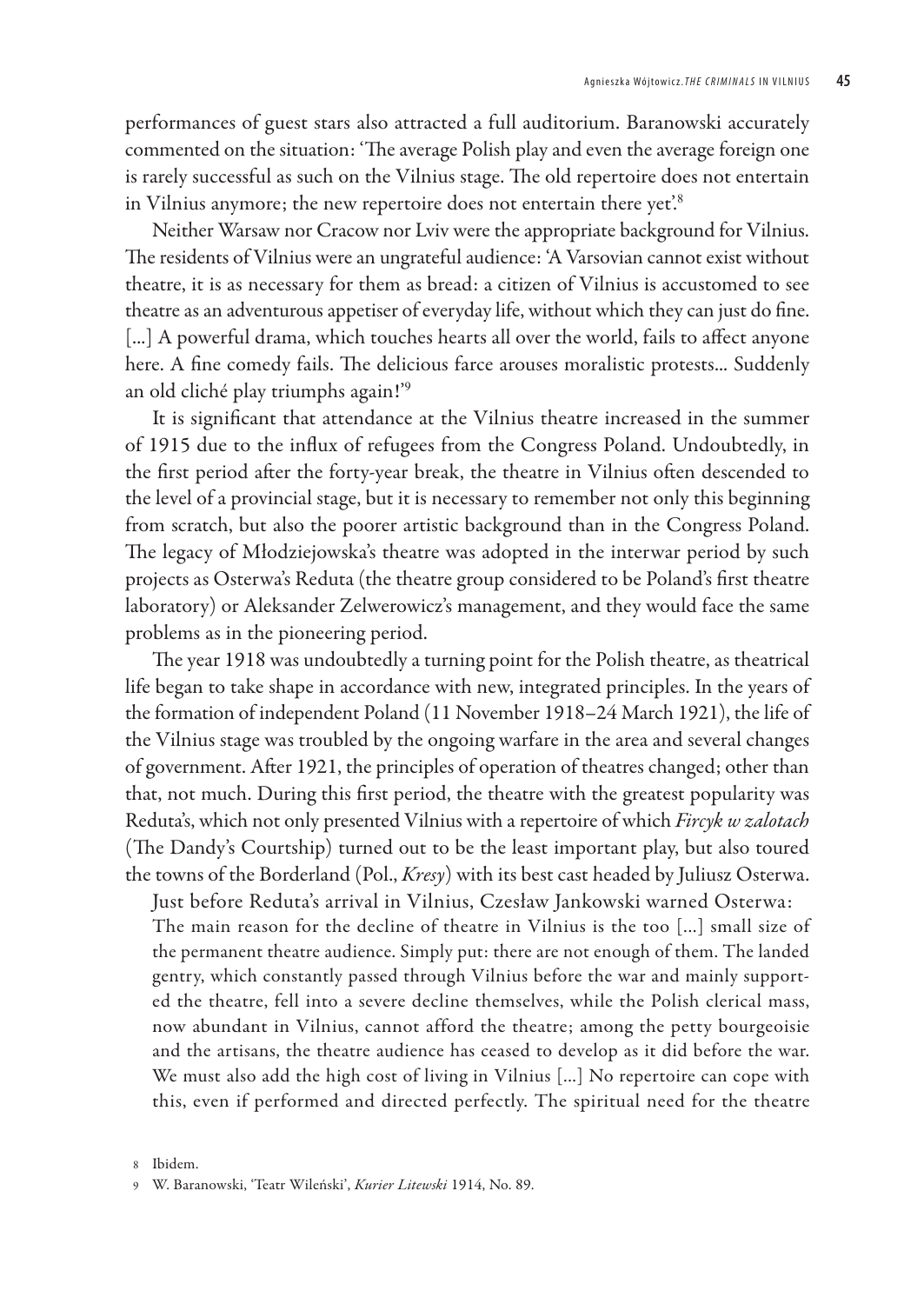performances of guest stars also attracted a full auditorium. Baranowski accurately commented on the situation: 'The average Polish play and even the average foreign one is rarely successful as such on the Vilnius stage. The old repertoire does not entertain in Vilnius anymore; the new repertoire does not entertain there yet.<sup>8</sup>

Neither Warsaw nor Cracow nor Lviv were the appropriate background for Vilnius. The residents of Vilnius were an ungrateful audience: 'A Varsovian cannot exist without theatre, it is as necessary for them as bread: a citizen of Vilnius is accustomed to see theatre as an adventurous appetiser of everyday life, without which they can just do fine. [...] A powerful drama, which touches hearts all over the world, fails to affect anyone here. A fine comedy fails. The delicious farce arouses moralistic protests... Suddenly an old cliché play triumphs again!'<sup>9</sup>

It is significant that attendance at the Vilnius theatre increased in the summer of 1915 due to the influx of refugees from the Congress Poland. Undoubtedly, in the first period after the forty-year break, the theatre in Vilnius often descended to the level of a provincial stage, but it is necessary to remember not only this beginning from scratch, but also the poorer artistic background than in the Congress Poland. The legacy of Młodziejowska's theatre was adopted in the interwar period by such projects as Osterwa's Reduta (the theatre group considered to be Poland's first theatre laboratory) or Aleksander Zelwerowicz's management, and they would face the same problems as in the pioneering period.

The year 1918 was undoubtedly a turning point for the Polish theatre, as theatrical life began to take shape in accordance with new, integrated principles. In the years of the formation of independent Poland (11 November 1918–24 March 1921), the life of the Vilnius stage was troubled by the ongoing warfare in the area and several changes of government. After 1921, the principles of operation of theatres changed; other than that, not much. During this first period, the theatre with the greatest popularity was Reduta's, which not only presented Vilnius with a repertoire of which *Fircyk w zalotach* (The Dandy's Courtship) turned out to be the least important play, but also toured the towns of the Borderland (Pol., *Kresy*) with its best cast headed by Juliusz Osterwa.

Just before Reduta's arrival in Vilnius, Czesław Jankowski warned Osterwa: The main reason for the decline of theatre in Vilnius is the too [...] small size of the permanent theatre audience. Simply put: there are not enough of them. The landed gentry, which constantly passed through Vilnius before the war and mainly supported the theatre, fell into a severe decline themselves, while the Polish clerical mass, now abundant in Vilnius, cannot afford the theatre; among the petty bourgeoisie and the artisans, the theatre audience has ceased to develop as it did before the war. We must also add the high cost of living in Vilnius [...] No repertoire can cope with this, even if performed and directed perfectly. The spiritual need for the theatre

<sup>8</sup> Ibidem.

<sup>9</sup> W. Baranowski, 'Teatr Wileński', *Kurier Litewski* 1914, No. 89.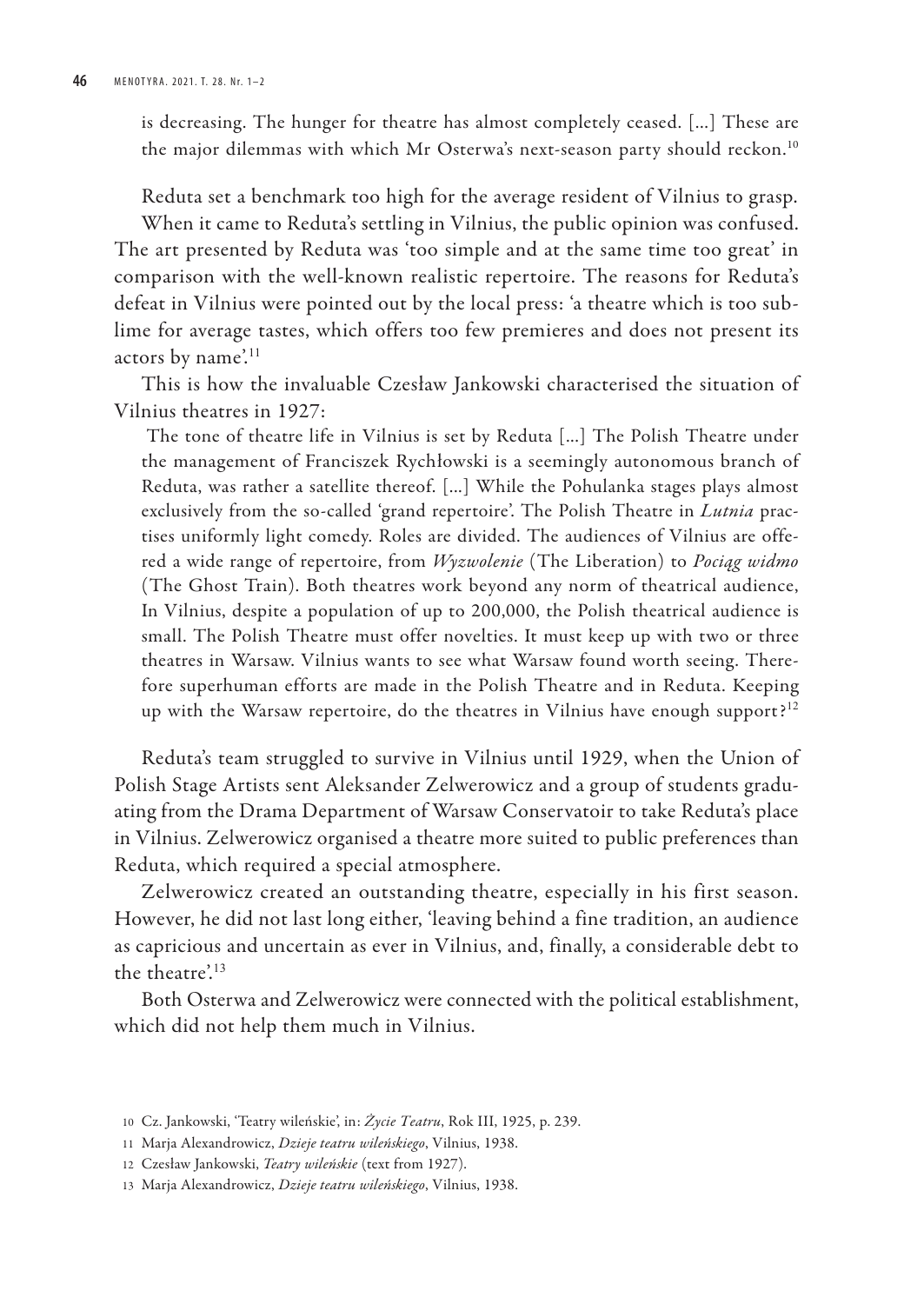is decreasing. The hunger for theatre has almost completely ceased. [...] These are the major dilemmas with which Mr Osterwa's next-season party should reckon.<sup>10</sup>

Reduta set a benchmark too high for the average resident of Vilnius to grasp. When it came to Reduta's settling in Vilnius, the public opinion was confused. The art presented by Reduta was 'too simple and at the same time too great' in comparison with the well-known realistic repertoire. The reasons for Reduta's defeat in Vilnius were pointed out by the local press: 'a theatre which is too sublime for average tastes, which offers too few premieres and does not present its actors by name'.<sup>11</sup>

This is how the invaluable Czesław Jankowski characterised the situation of Vilnius theatres in 1927:

The tone of theatre life in Vilnius is set by Reduta [...] The Polish Theatre under the management of Franciszek Rychłowski is a seemingly autonomous branch of Reduta, was rather a satellite thereof. [...] While the Pohulanka stages plays almost exclusively from the so-called 'grand repertoire'. The Polish Theatre in *Lutnia* practises uniformly light comedy. Roles are divided. The audiences of Vilnius are offered a wide range of repertoire, from *Wyzwolenie* (The Liberation) to *Pociąg widmo*  (The Ghost Train). Both theatres work beyond any norm of theatrical audience, In Vilnius, despite a population of up to 200,000, the Polish theatrical audience is small. The Polish Theatre must offer novelties. It must keep up with two or three theatres in Warsaw. Vilnius wants to see what Warsaw found worth seeing. Therefore superhuman efforts are made in the Polish Theatre and in Reduta. Keeping up with the Warsaw repertoire, do the theatres in Vilnius have enough support?<sup>12</sup>

Reduta's team struggled to survive in Vilnius until 1929, when the Union of Polish Stage Artists sent Aleksander Zelwerowicz and a group of students graduating from the Drama Department of Warsaw Conservatoir to take Reduta's place in Vilnius. Zelwerowicz organised a theatre more suited to public preferences than Reduta, which required a special atmosphere.

Zelwerowicz created an outstanding theatre, especially in his first season. However, he did not last long either, 'leaving behind a fine tradition, an audience as capricious and uncertain as ever in Vilnius, and, finally, a considerable debt to the theatre'.<sup>13</sup>

Both Osterwa and Zelwerowicz were connected with the political establishment, which did not help them much in Vilnius.

<sup>10</sup> Cz. Jankowski, 'Teatry wileńskie', in: *Życie Teatru*, Rok III, 1925, p. 239.

<sup>11</sup> Marja Alexandrowicz, *Dzieje teatru wileńskiego*, Vilnius, 1938.

<sup>12</sup> Czesław Jankowski, *Teatry wileńskie* (text from 1927).

<sup>13</sup> Marja Alexandrowicz, *Dzieje teatru wileńskiego*, Vilnius, 1938.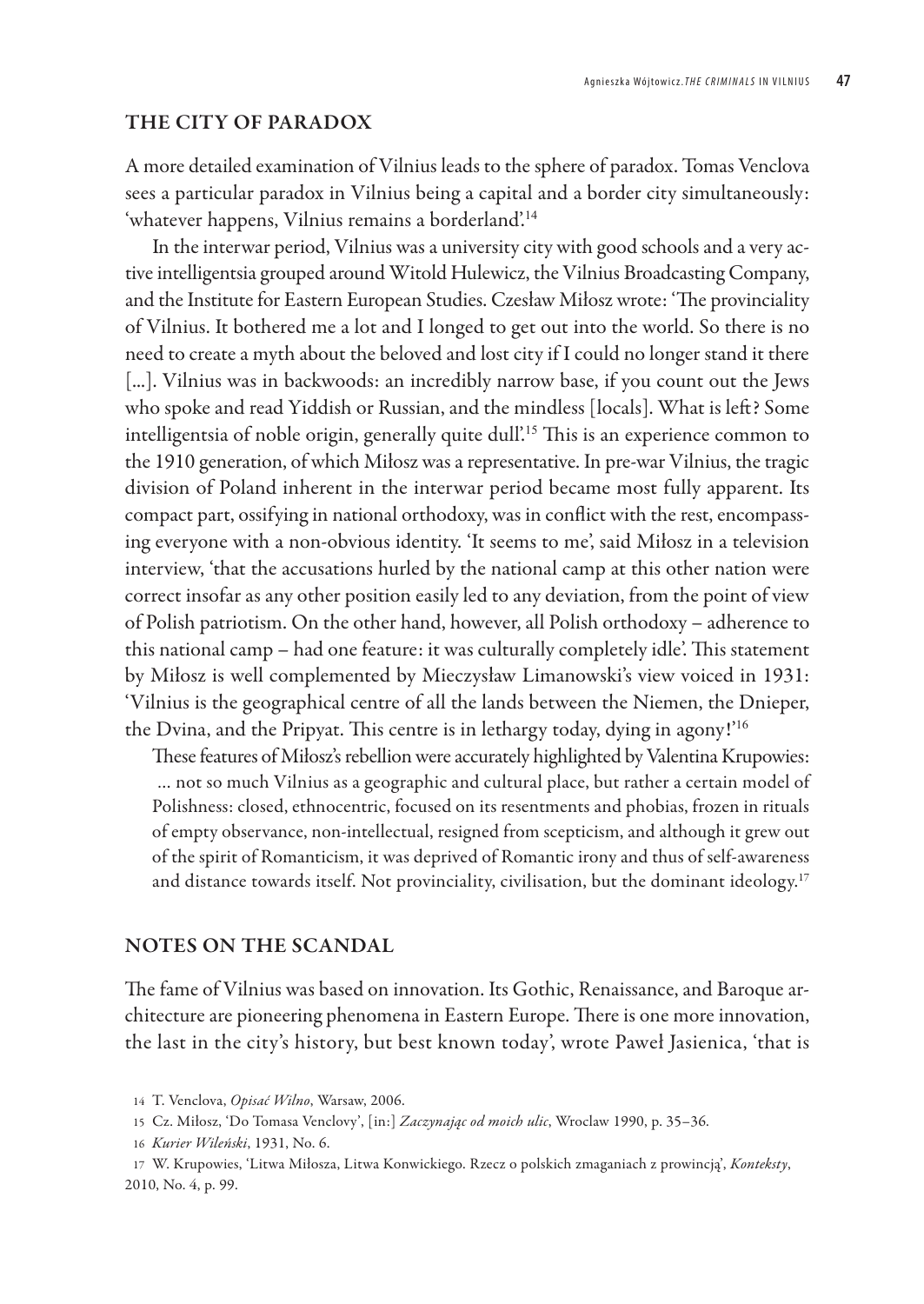#### THE CITY OF PARADOX

A more detailed examination of Vilnius leads to the sphere of paradox. Tomas Venclova sees a particular paradox in Vilnius being a capital and a border city simultaneously: 'whatever happens, Vilnius remains a borderland'.<sup>14</sup>

In the interwar period, Vilnius was a university city with good schools and a very active intelligentsia grouped around Witold Hulewicz, the Vilnius Broadcasting Company, and the Institute for Eastern European Studies. Czesław Miłosz wrote: 'The provinciality of Vilnius. It bothered me a lot and I longed to get out into the world. So there is no need to create a myth about the beloved and lost city if I could no longer stand it there [...]. Vilnius was in backwoods: an incredibly narrow base, if you count out the Jews who spoke and read Yiddish or Russian, and the mindless [locals]. What is left? Some intelligentsia of noble origin, generally quite dull'.<sup>15</sup> This is an experience common to the 1910 generation, of which Miłosz was a representative. In pre-war Vilnius, the tragic division of Poland inherent in the interwar period became most fully apparent. Its compact part, ossifying in national orthodoxy, was in conflict with the rest, encompassing everyone with a non-obvious identity. 'It seems to me', said Miłosz in a television interview, 'that the accusations hurled by the national camp at this other nation were correct insofar as any other position easily led to any deviation, from the point of view of Polish patriotism. On the other hand, however, all Polish orthodoxy – adherence to this national camp – had one feature: it was culturally completely idle'. This statement by Miłosz is well complemented by Mieczysław Limanowski's view voiced in 1931: 'Vilnius is the geographical centre of all the lands between the Niemen, the Dnieper, the Dvina, and the Pripyat. This centre is in lethargy today, dying in agony!'<sup>16</sup>

These features of Miłosz's rebellion were accurately highlighted by Valentina Krupowies: … not so much Vilnius as a geographic and cultural place, but rather a certain model of Polishness: closed, ethnocentric, focused on its resentments and phobias, frozen in rituals of empty observance, non-intellectual, resigned from scepticism, and although it grew out of the spirit of Romanticism, it was deprived of Romantic irony and thus of self-awareness and distance towards itself. Not provinciality, civilisation, but the dominant ideology.<sup>17</sup>

### NOTES ON THE SCANDAL

The fame of Vilnius was based on innovation. Its Gothic, Renaissance, and Baroque architecture are pioneering phenomena in Eastern Europe. There is one more innovation, the last in the city's history, but best known today', wrote Paweł Jasienica, 'that is

<sup>14</sup> T. Venclova, *Opisać Wilno*, Warsaw, 2006.

<sup>15</sup> Cz. Miłosz, 'Do Tomasa Venclovy', [in:] *Zaczynając od moich ulic*, Wroclaw 1990, p. 35–36.

<sup>16</sup> *Kurier Wileński*, 1931, No. 6.

<sup>17</sup> W. Krupowies, 'Litwa Miłosza, Litwa Konwickiego. Rzecz o polskich zmaganiach z prowincją', *Konteksty*, 2010, No. 4, p. 99.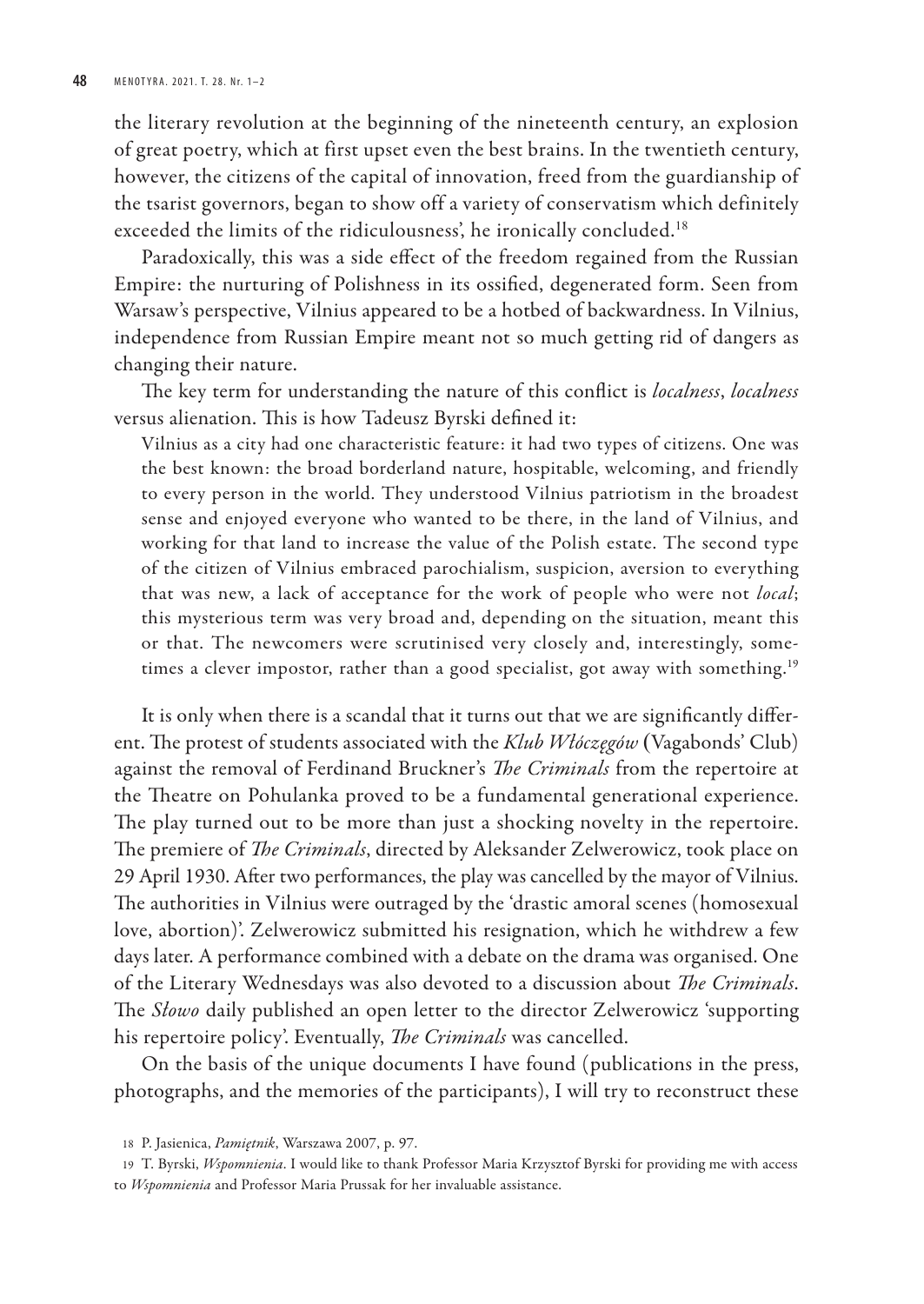the literary revolution at the beginning of the nineteenth century, an explosion of great poetry, which at first upset even the best brains. In the twentieth century, however, the citizens of the capital of innovation, freed from the guardianship of the tsarist governors, began to show off a variety of conservatism which definitely exceeded the limits of the ridiculousness', he ironically concluded.<sup>18</sup>

Paradoxically, this was a side effect of the freedom regained from the Russian Empire: the nurturing of Polishness in its ossified, degenerated form. Seen from Warsaw's perspective, Vilnius appeared to be a hotbed of backwardness. In Vilnius, independence from Russian Empire meant not so much getting rid of dangers as changing their nature.

The key term for understanding the nature of this conflict is *localness*, *localness* versus alienation. This is how Tadeusz Byrski defined it:

Vilnius as a city had one characteristic feature: it had two types of citizens. One was the best known: the broad borderland nature, hospitable, welcoming, and friendly to every person in the world. They understood Vilnius patriotism in the broadest sense and enjoyed everyone who wanted to be there, in the land of Vilnius, and working for that land to increase the value of the Polish estate. The second type of the citizen of Vilnius embraced parochialism, suspicion, aversion to everything that was new, a lack of acceptance for the work of people who were not *local*; this mysterious term was very broad and, depending on the situation, meant this or that. The newcomers were scrutinised very closely and, interestingly, sometimes a clever impostor, rather than a good specialist, got away with something.<sup>19</sup>

It is only when there is a scandal that it turns out that we are significantly different. The protest of students associated with the *Klub Włóczęgów* (Vagabonds' Club) against the removal of Ferdinand Bruckner's *The Criminals* from the repertoire at the Theatre on Pohulanka proved to be a fundamental generational experience. The play turned out to be more than just a shocking novelty in the repertoire. The premiere of *The Criminals*, directed by Aleksander Zelwerowicz, took place on 29 April 1930. After two performances, the play was cancelled by the mayor of Vilnius. The authorities in Vilnius were outraged by the 'drastic amoral scenes (homosexual love, abortion)'. Zelwerowicz submitted his resignation, which he withdrew a few days later. A performance combined with a debate on the drama was organised. One of the Literary Wednesdays was also devoted to a discussion about *The Criminals*. The *Słowo* daily published an open letter to the director Zelwerowicz 'supporting his repertoire policy'. Eventually, *The Criminals* was cancelled.

On the basis of the unique documents I have found (publications in the press, photographs, and the memories of the participants), I will try to reconstruct these

<sup>18</sup> P. Jasienica, *Pamiętnik*, Warszawa 2007, p. 97.

<sup>19</sup> T. Byrski, *Wspomnienia*. I would like to thank Professor Maria Krzysztof Byrski for providing me with access to *Wspomnienia* and Professor Maria Prussak for her invaluable assistance.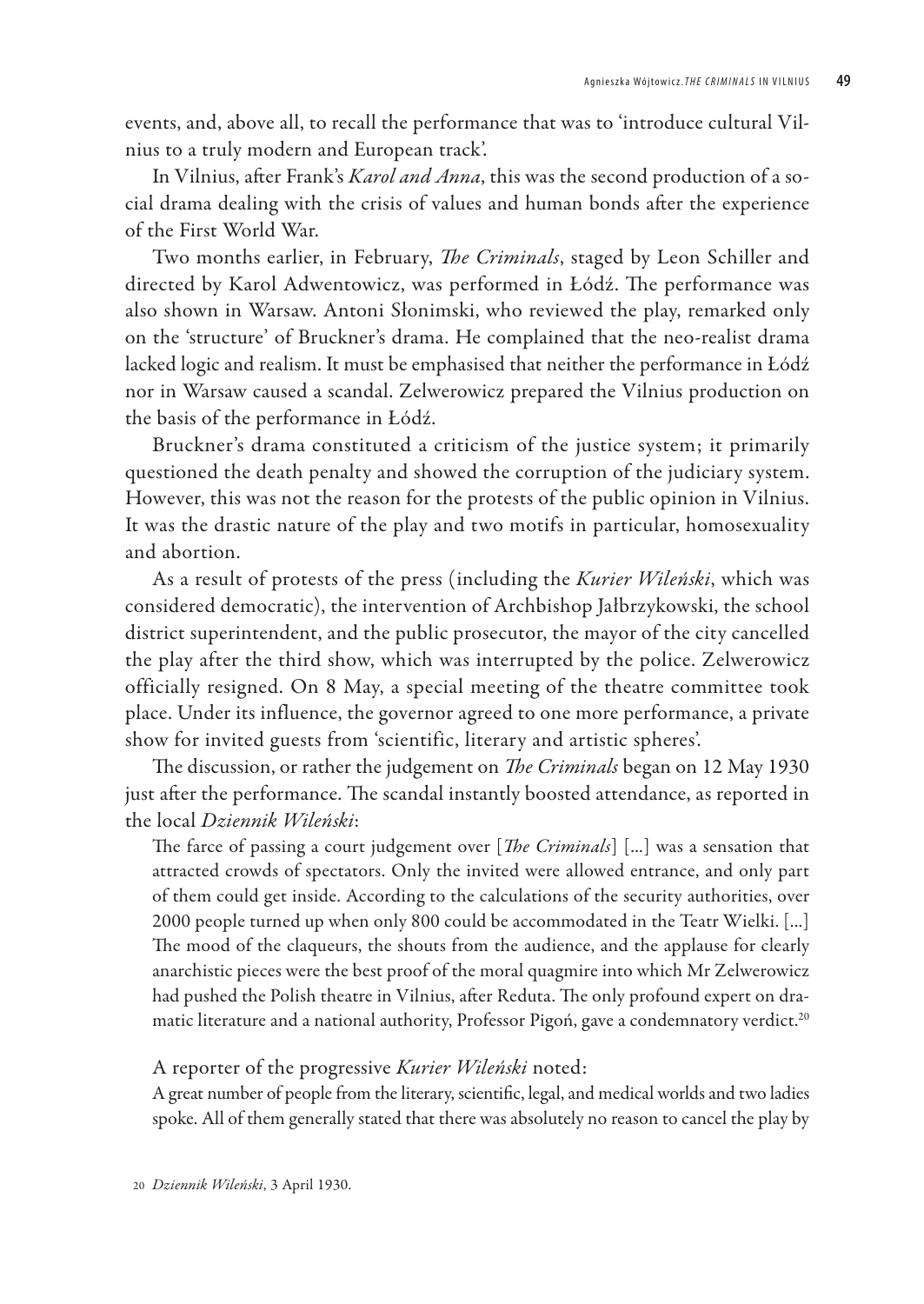events, and, above all, to recall the performance that was to 'introduce cultural Vilnius to a truly modern and European track'.

In Vilnius, after Frank's *Karol and Anna*, this was the second production of a social drama dealing with the crisis of values and human bonds after the experience of the First World War.

Two months earlier, in February, *The Criminals*, staged by Leon Schiller and directed by Karol Adwentowicz, was performed in Łódź. The performance was also shown in Warsaw. Antoni Słonimski, who reviewed the play, remarked only on the 'structure' of Bruckner's drama. He complained that the neo-realist drama lacked logic and realism. It must be emphasised that neither the performance in Łódź nor in Warsaw caused a scandal. Zelwerowicz prepared the Vilnius production on the basis of the performance in Łódź.

Bruckner's drama constituted a criticism of the justice system; it primarily questioned the death penalty and showed the corruption of the judiciary system. However, this was not the reason for the protests of the public opinion in Vilnius. It was the drastic nature of the play and two motifs in particular, homosexuality and abortion.

As a result of protests of the press (including the *Kurier Wileński*, which was considered democratic), the intervention of Archbishop Jałbrzykowski, the school district superintendent, and the public prosecutor, the mayor of the city cancelled the play after the third show, which was interrupted by the police. Zelwerowicz officially resigned. On 8 May, a special meeting of the theatre committee took place. Under its influence, the governor agreed to one more performance, a private show for invited guests from 'scientific, literary and artistic spheres'.

The discussion, or rather the judgement on *The Criminals* began on 12 May 1930 just after the performance. The scandal instantly boosted attendance, as reported in the local *Dziennik Wileński*:

The farce of passing a court judgement over [*The Criminals*] [...] was a sensation that attracted crowds of spectators. Only the invited were allowed entrance, and only part of them could get inside. According to the calculations of the security authorities, over 2000 people turned up when only 800 could be accommodated in the Teatr Wielki. [...] The mood of the claqueurs, the shouts from the audience, and the applause for clearly anarchistic pieces were the best proof of the moral quagmire into which Mr Zelwerowicz had pushed the Polish theatre in Vilnius, after Reduta. The only profound expert on dramatic literature and a national authority, Professor Pigoń, gave a condemnatory verdict.<sup>20</sup>

#### A reporter of the progressive *Kurier Wileński* noted:

A great number of people from the literary, scientific, legal, and medical worlds and two ladies spoke. All of them generally stated that there was absolutely no reason to cancel the play by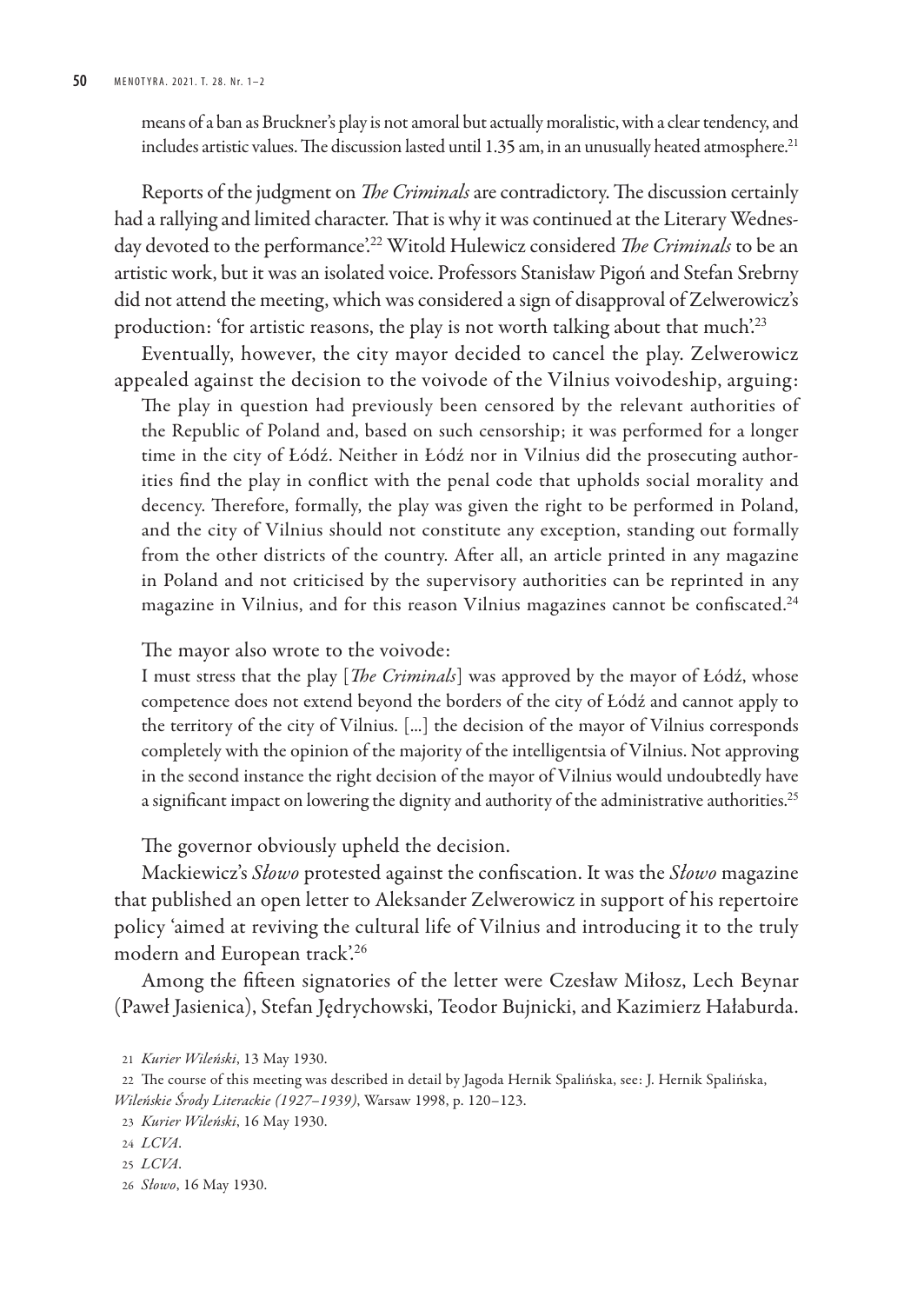means of a ban as Bruckner's play is not amoral but actually moralistic, with a clear tendency, and includes artistic values. The discussion lasted until 1.35 am, in an unusually heated atmosphere.<sup>21</sup>

Reports of the judgment on *The Criminals* are contradictory. The discussion certainly had a rallying and limited character. That is why it was continued at the Literary Wednesday devoted to the performance'.<sup>22</sup> Witold Hulewicz considered *The Criminals* to be an artistic work, but it was an isolated voice. Professors Stanisław Pigoń and Stefan Srebrny did not attend the meeting, which was considered a sign of disapproval of Zelwerowicz's production: 'for artistic reasons, the play is not worth talking about that much'.<sup>23</sup>

Eventually, however, the city mayor decided to cancel the play. Zelwerowicz appealed against the decision to the voivode of the Vilnius voivodeship, arguing: The play in question had previously been censored by the relevant authorities of the Republic of Poland and, based on such censorship; it was performed for a longer time in the city of Łódź. Neither in Łódź nor in Vilnius did the prosecuting authorities find the play in conflict with the penal code that upholds social morality and decency. Therefore, formally, the play was given the right to be performed in Poland, and the city of Vilnius should not constitute any exception, standing out formally from the other districts of the country. After all, an article printed in any magazine in Poland and not criticised by the supervisory authorities can be reprinted in any magazine in Vilnius, and for this reason Vilnius magazines cannot be confiscated.<sup>24</sup>

The mayor also wrote to the voivode:

I must stress that the play [*The Criminals*] was approved by the mayor of Łódź, whose competence does not extend beyond the borders of the city of Łódź and cannot apply to the territory of the city of Vilnius. [...] the decision of the mayor of Vilnius corresponds completely with the opinion of the majority of the intelligentsia of Vilnius. Not approving in the second instance the right decision of the mayor of Vilnius would undoubtedly have a significant impact on lowering the dignity and authority of the administrative authorities. $^{25}$ 

The governor obviously upheld the decision.

Mackiewicz's *Słowo* protested against the confiscation. It was the *Słowo* magazine that published an open letter to Aleksander Zelwerowicz in support of his repertoire policy 'aimed at reviving the cultural life of Vilnius and introducing it to the truly modern and European track'.<sup>26</sup>

Among the fifteen signatories of the letter were Czesław Miłosz, Lech Beynar (Paweł Jasienica), Stefan Jędrychowski, Teodor Bujnicki, and Kazimierz Hałaburda.

<sup>21</sup> *Kurier Wileński*, 13 May 1930.

<sup>22</sup> The course of this meeting was described in detail by Jagoda Hernik Spalińska, see: J. Hernik Spalińska, *Wileńskie Środy Literackie (1927–1939)*, Warsaw 1998, p. 120–123.

<sup>23</sup> *Kurier Wileński*, 16 May 1930.

<sup>24</sup> *LCVA*.

<sup>25</sup> *LCVA*.

<sup>26</sup> *Słowo*, 16 May 1930.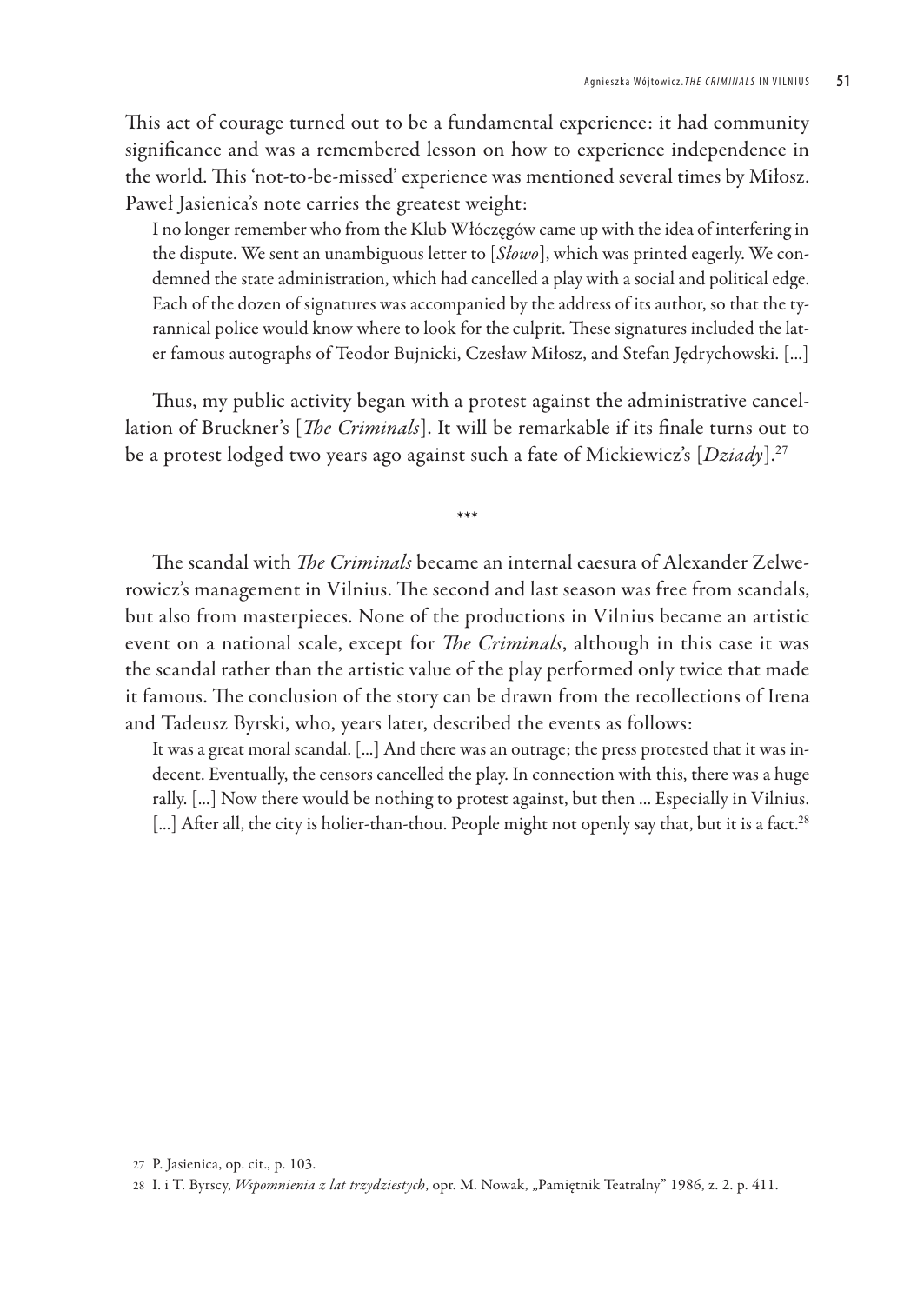This act of courage turned out to be a fundamental experience: it had community significance and was a remembered lesson on how to experience independence in the world. This 'not-to-be-missed' experience was mentioned several times by Miłosz. Paweł Jasienica's note carries the greatest weight:

I no longer remember who from the Klub Włóczęgów came up with the idea of interfering in the dispute. We sent an unambiguous letter to [*Słowo*], which was printed eagerly. We condemned the state administration, which had cancelled a play with a social and political edge. Each of the dozen of signatures was accompanied by the address of its author, so that the tyrannical police would know where to look for the culprit. These signatures included the later famous autographs of Teodor Bujnicki, Czesław Miłosz, and Stefan Jędrychowski. [...]

Thus, my public activity began with a protest against the administrative cancellation of Bruckner's [*The Criminals*]. It will be remarkable if its finale turns out to be a protest lodged two years ago against such a fate of Mickiewicz's [*Dziady*].<sup>27</sup>

\*\*\*

The scandal with *The Criminals* became an internal caesura of Alexander Zelwerowicz's management in Vilnius. The second and last season was free from scandals, but also from masterpieces. None of the productions in Vilnius became an artistic event on a national scale, except for *The Criminals*, although in this case it was the scandal rather than the artistic value of the play performed only twice that made it famous. The conclusion of the story can be drawn from the recollections of Irena and Tadeusz Byrski, who, years later, described the events as follows:

It was a great moral scandal. [...] And there was an outrage; the press protested that it was indecent. Eventually, the censors cancelled the play. In connection with this, there was a huge rally. [...] Now there would be nothing to protest against, but then ... Especially in Vilnius. [...] After all, the city is holier-than-thou. People might not openly say that, but it is a fact.<sup>28</sup>

<sup>27</sup> P. Jasienica, op. cit., p. 103.

<sup>28</sup> I. i T. Byrscy, *Wspomnienia z lat trzydziestych*, opr. M. Nowak, "Pamiętnik Teatralny" 1986, z. 2. p. 411.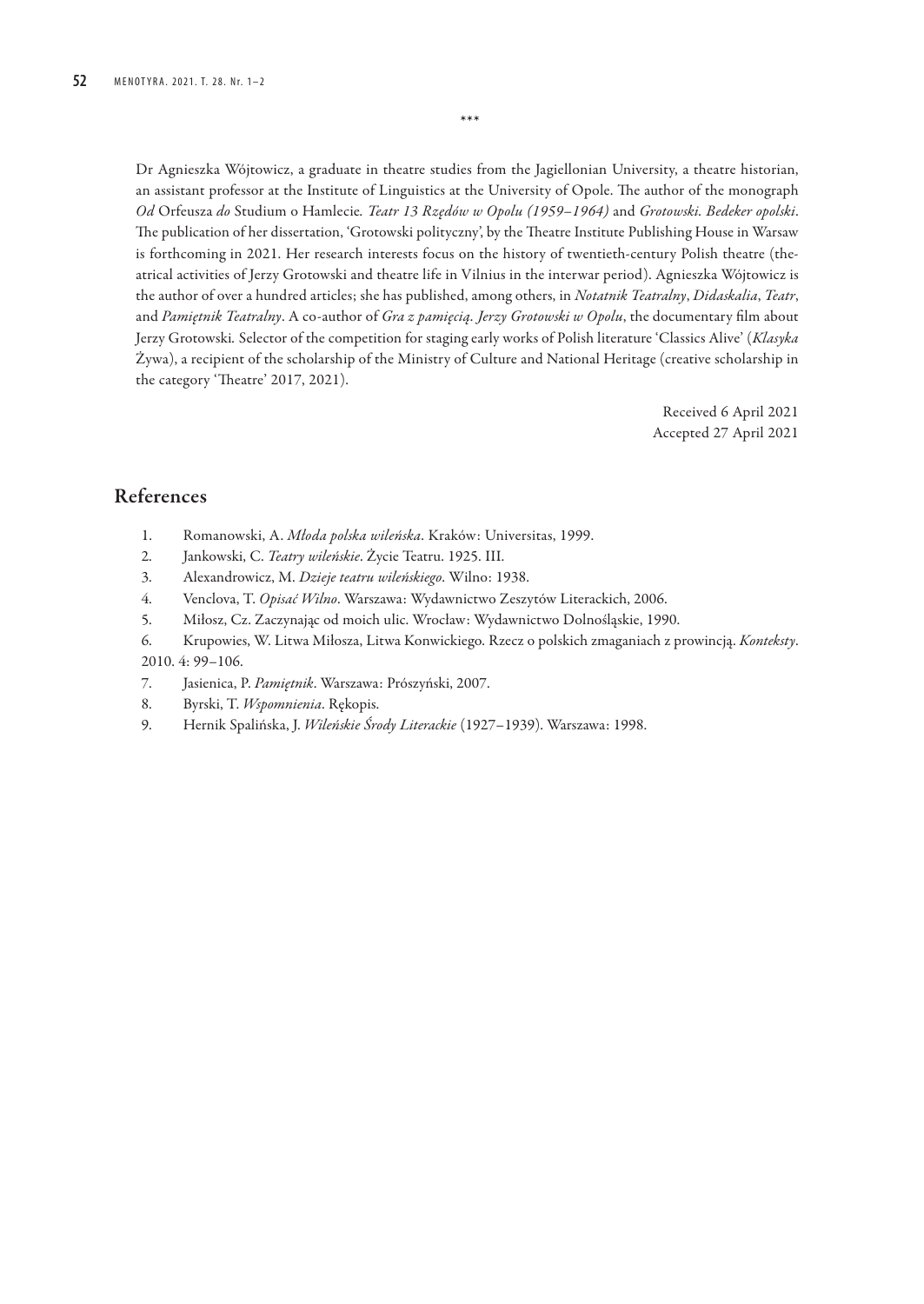Dr Agnieszka Wójtowicz, a graduate in theatre studies from the Jagiellonian University, a theatre historian, an assistant professor at the Institute of Linguistics at the University of Opole. The author of the monograph *Od* Orfeusza *do* Studium o Hamlecie*. Teatr 13 Rzędów w Opolu (1959–1964)* and *Grotowski. Bedeker opolski*. The publication of her dissertation, 'Grotowski polityczny', by the Theatre Institute Publishing House in Warsaw is forthcoming in 2021. Her research interests focus on the history of twentieth-century Polish theatre (theatrical activities of Jerzy Grotowski and theatre life in Vilnius in the interwar period). Agnieszka Wójtowicz is the author of over a hundred articles; she has published, among others, in *Notatnik Teatralny*, *Didaskalia*, *Teatr*, and *Pamiętnik Teatralny*. A co-author of *Gra z pamięcią. Jerzy Grotowski w Opolu*, the documentary film about Jerzy Grotowski*.* Selector of the competition for staging early works of Polish literature 'Classics Alive' (*Klasyka*  Żywa), a recipient of the scholarship of the Ministry of Culture and National Heritage (creative scholarship in the category 'Theatre' 2017, 2021).

\*\*\*

Received 6 April 2021 Accepted 27 April 2021

## References

- 1. Romanowski, A. *Młoda polska wileńska*. Kraków: Universitas, 1999.
- 2. Jankowski, C. *Teatry wileńskie*. Życie Teatru. 1925. III.
- 3. Alexandrowicz, M. *Dzieje teatru wileńskiego*. Wilno: 1938.
- 4. Venclova, T. *Opisać Wilno*. Warszawa: Wydawnictwo Zeszytów Literackich, 2006.
- 5. Miłosz, Cz. Zaczynając od moich ulic. Wrocław: Wydawnictwo Dolnośląskie, 1990.
- 6. Krupowies, W. Litwa Miłosza, Litwa Konwickiego. Rzecz o polskich zmaganiach z prowincją. *Konteksty*. 2010. 4: 99–106.
- 7. Jasienica, P. *Pamiętnik*. Warszawa: Prószyński, 2007.
- 8. Byrski, T. *Wspomnienia*. Rękopis.
- 9. Hernik Spalińska, J. *Wileńskie Środy Literackie* (1927–1939). Warszawa: 1998.